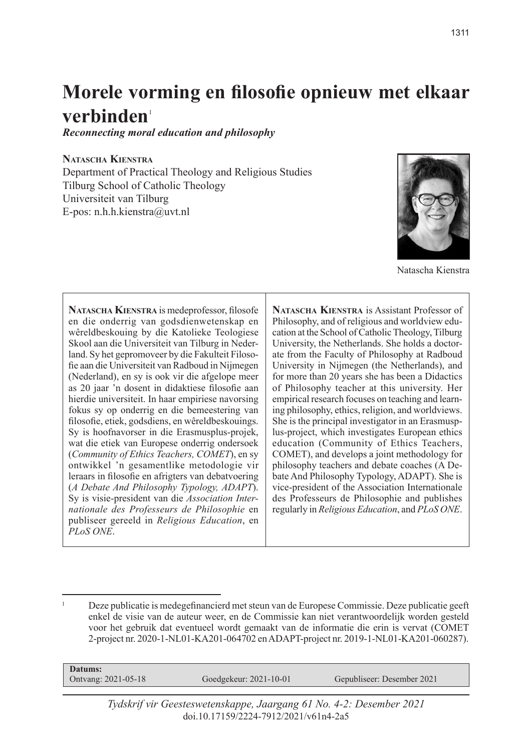# **Morele vorming en filosofie opnieuw met elkaar**  verbinden<sup>1</sup>

*Reconnecting moral education and philosophy*

#### **Natascha Kienstra**

Department of Practical Theology and Religious Studies Tilburg School of Catholic Theology Universiteit van Tilburg E-pos: n.h.h.kienstra@uvt.nl



Natascha Kienstra

**Natascha Kienstra** is medeprofessor, filosofe en die onderrig van godsdienwetenskap en wêreldbeskouing by die Katolieke Teologiese Skool aan die Universiteit van Tilburg in Nederland. Sy het gepromoveer by die Fakulteit Filosofie aan die Universiteit van Radboud in Nijmegen (Nederland), en sy is ook vir die afgelope meer as 20 jaar 'n dosent in didaktiese filosofie aan hierdie universiteit. In haar empiriese navorsing fokus sy op onderrig en die bemeestering van filosofie, etiek, godsdiens, en wêreldbeskouings. Sy is hoofnavorser in die Erasmusplus-projek, wat die etiek van Europese onderrig ondersoek (*Community of Ethics Teachers, COMET*), en sy ontwikkel 'n gesamentlike metodologie vir leraars in filosofie en afrigters van debatvoering (*A Debate And Philosophy Typology, ADAPT*). Sy is visie-president van die *Association Internationale des Professeurs de Philosophie* en publiseer gereeld in *Religious Education*, en *PLoS ONE*.

**Natascha Kienstra** is Assistant Professor of Philosophy, and of religious and worldview education at the School of Catholic Theology, Tilburg University, the Netherlands. She holds a doctorate from the Faculty of Philosophy at Radboud University in Nijmegen (the Netherlands), and for more than 20 years she has been a Didactics of Philosophy teacher at this university. Her empirical research focuses on teaching and learning philosophy, ethics, religion, and worldviews. She is the principal investigator in an Erasmusplus-project, which investigates European ethics education (Community of Ethics Teachers, COMET), and develops a joint methodology for philosophy teachers and debate coaches (A Debate And Philosophy Typology, ADAPT). She is vice-president of the Association Internationale des Professeurs de Philosophie and publishes regularly in *Religious Education*, and *PLoS ONE*.

 $1^1$  Deze publicatie is medegefinancierd met steun van de Europese Commissie. Deze publicatie geeft enkel de visie van de auteur weer, en de Commissie kan niet verantwoordelijk worden gesteld voor het gebruik dat eventueel wordt gemaakt van de informatie die erin is vervat (COMET 2-project nr. 2020-1-NL01-KA201-064702 en ADAPT-project nr. 2019-1-NL01-KA201-060287).

| Datums:                   |                        |                            |  |
|---------------------------|------------------------|----------------------------|--|
| Ontvang: $2021 - 05 - 18$ | Goedgekeur: 2021-10-01 | Gepubliseer: Desember 2021 |  |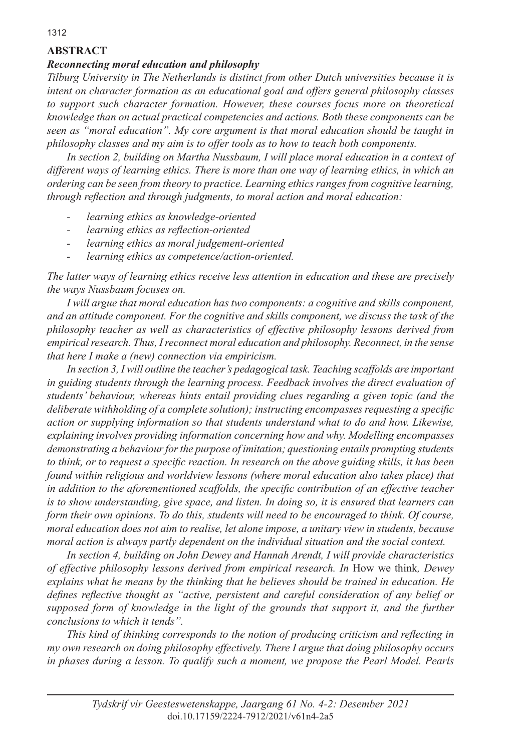## **ABSTRACT**

#### *Reconnecting moral education and philosophy*

*Tilburg University in The Netherlands is distinct from other Dutch universities because it is intent on character formation as an educational goal and offers general philosophy classes to support such character formation. However, these courses focus more on theoretical knowledge than on actual practical competencies and actions. Both these components can be seen as "moral education". My core argument is that moral education should be taught in philosophy classes and my aim is to offer tools as to how to teach both components.*

*In section 2, building on Martha Nussbaum, I will place moral education in a context of different ways of learning ethics. There is more than one way of learning ethics, in which an ordering can be seen from theory to practice. Learning ethics ranges from cognitive learning, through reflection and through judgments, to moral action and moral education:* 

- *- learning ethics as knowledge-oriented*
- *- learning ethics as reflection-oriented*
- *- learning ethics as moral judgement-oriented*
- *- learning ethics as competence/action-oriented.*

*The latter ways of learning ethics receive less attention in education and these are precisely the ways Nussbaum focuses on.*

*I will argue that moral education has two components: a cognitive and skills component, and an attitude component. For the cognitive and skills component, we discuss the task of the philosophy teacher as well as characteristics of effective philosophy lessons derived from empirical research. Thus, I reconnect moral education and philosophy. Reconnect, in the sense that here I make a (new) connection via empiricism.*

*In section 3, I will outline the teacher's pedagogical task. Teaching scaffolds are important in guiding students through the learning process. Feedback involves the direct evaluation of students' behaviour, whereas hints entail providing clues regarding a given topic (and the deliberate withholding of a complete solution); instructing encompasses requesting a specific action or supplying information so that students understand what to do and how. Likewise, explaining involves providing information concerning how and why. Modelling encompasses demonstrating a behaviour for the purpose of imitation; questioning entails prompting students to think, or to request a specific reaction. In research on the above guiding skills, it has been found within religious and worldview lessons (where moral education also takes place) that in addition to the aforementioned scaffolds, the specific contribution of an effective teacher is to show understanding, give space, and listen. In doing so, it is ensured that learners can form their own opinions. To do this, students will need to be encouraged to think. Of course, moral education does not aim to realise, let alone impose, a unitary view in students, because moral action is always partly dependent on the individual situation and the social context.* 

*In section 4, building on John Dewey and Hannah Arendt, I will provide characteristics of effective philosophy lessons derived from empirical research. In* How we think*, Dewey explains what he means by the thinking that he believes should be trained in education. He defines reflective thought as "active, persistent and careful consideration of any belief or supposed form of knowledge in the light of the grounds that support it, and the further conclusions to which it tends".* 

*This kind of thinking corresponds to the notion of producing criticism and reflecting in my own research on doing philosophy effectively. There I argue that doing philosophy occurs in phases during a lesson. To qualify such a moment, we propose the Pearl Model. Pearls*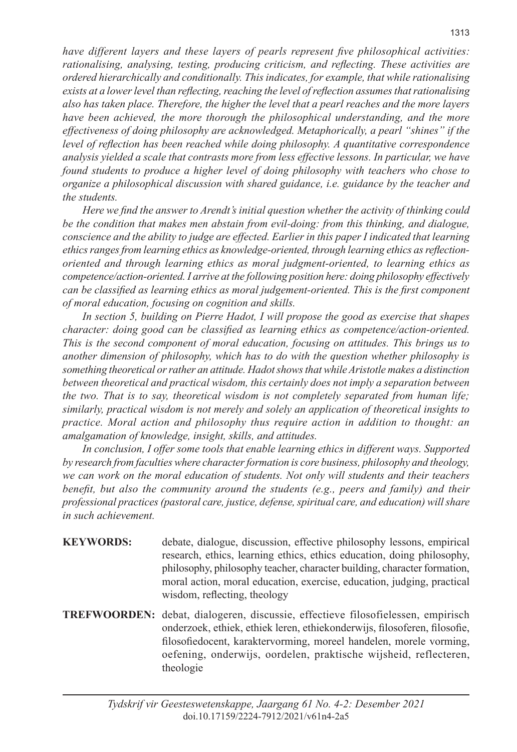*have different layers and these layers of pearls represent five philosophical activities: rationalising, analysing, testing, producing criticism, and reflecting. These activities are ordered hierarchically and conditionally. This indicates, for example, that while rationalising exists at a lower level than reflecting, reaching the level of reflection assumes that rationalising also has taken place. Therefore, the higher the level that a pearl reaches and the more layers have been achieved, the more thorough the philosophical understanding, and the more effectiveness of doing philosophy are acknowledged. Metaphorically, a pearl "shines" if the level of reflection has been reached while doing philosophy. A quantitative correspondence analysis yielded a scale that contrasts more from less effective lessons. In particular, we have found students to produce a higher level of doing philosophy with teachers who chose to organize a philosophical discussion with shared guidance, i.e. guidance by the teacher and the students.*

*Here we find the answer to Arendt's initial question whether the activity of thinking could be the condition that makes men abstain from evil-doing: from this thinking, and dialogue, conscience and the ability to judge are effected. Earlier in this paper I indicated that learning ethics ranges from learning ethics as knowledge-oriented, through learning ethics as reflectionoriented and through learning ethics as moral judgment-oriented, to learning ethics as competence/action-oriented. I arrive at the following position here: doing philosophy effectively can be classified as learning ethics as moral judgement-oriented. This is the first component of moral education, focusing on cognition and skills.*

*In section 5, building on Pierre Hadot, I will propose the good as exercise that shapes character: doing good can be classified as learning ethics as competence/action-oriented. This is the second component of moral education, focusing on attitudes. This brings us to another dimension of philosophy, which has to do with the question whether philosophy is something theoretical or rather an attitude. Hadot shows that while Aristotle makes a distinction between theoretical and practical wisdom, this certainly does not imply a separation between the two. That is to say, theoretical wisdom is not completely separated from human life; similarly, practical wisdom is not merely and solely an application of theoretical insights to practice. Moral action and philosophy thus require action in addition to thought: an amalgamation of knowledge, insight, skills, and attitudes.*

*In conclusion, I offer some tools that enable learning ethics in different ways. Supported by research from faculties where character formation is core business, philosophy and theology, we can work on the moral education of students. Not only will students and their teachers benefit, but also the community around the students (e.g., peers and family) and their professional practices (pastoral care, justice, defense, spiritual care, and education) will share in such achievement.*

- **KEYWORDS:** debate, dialogue, discussion, effective philosophy lessons, empirical research, ethics, learning ethics, ethics education, doing philosophy, philosophy, philosophy teacher, character building, character formation, moral action, moral education, exercise, education, judging, practical wisdom, reflecting, theology
- **TREFWOORDEN:** debat, dialogeren, discussie, effectieve filosofielessen, empirisch onderzoek, ethiek, ethiek leren, ethiekonderwijs, filosoferen, filosofie, filosofiedocent, karaktervorming, moreel handelen, morele vorming, oefening, onderwijs, oordelen, praktische wijsheid, reflecteren, theologie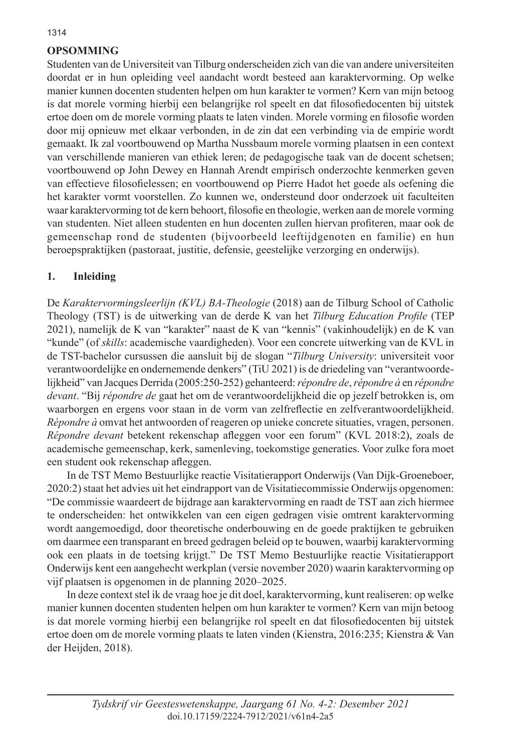## **OPSOMMING**

Studenten van de Universiteit van Tilburg onderscheiden zich van die van andere universiteiten doordat er in hun opleiding veel aandacht wordt besteed aan karaktervorming. Op welke manier kunnen docenten studenten helpen om hun karakter te vormen? Kern van mijn betoog is dat morele vorming hierbij een belangrijke rol speelt en dat filosofiedocenten bij uitstek ertoe doen om de morele vorming plaats te laten vinden. Morele vorming en filosofie worden door mij opnieuw met elkaar verbonden, in de zin dat een verbinding via de empirie wordt gemaakt. Ik zal voortbouwend op Martha Nussbaum morele vorming plaatsen in een context van verschillende manieren van ethiek leren; de pedagogische taak van de docent schetsen; voortbouwend op John Dewey en Hannah Arendt empirisch onderzochte kenmerken geven van effectieve filosofielessen; en voortbouwend op Pierre Hadot het goede als oefening die het karakter vormt voorstellen. Zo kunnen we, ondersteund door onderzoek uit faculteiten waar karaktervorming tot de kern behoort, filosofie en theologie, werken aan de morele vorming van studenten. Niet alleen studenten en hun docenten zullen hiervan profiteren, maar ook de gemeenschap rond de studenten (bijvoorbeeld leeftijdgenoten en familie) en hun beroepspraktijken (pastoraat, justitie, defensie, geestelijke verzorging en onderwijs).

#### **1. Inleiding**

De *Karaktervormingsleerlijn (KVL) BA-Theologie* (2018) aan de Tilburg School of Catholic Theology (TST) is de uitwerking van de derde K van het *Tilburg Education Profile* (TEP 2021), namelijk de K van "karakter" naast de K van "kennis" (vakinhoudelijk) en de K van "kunde" (of *skills*: academische vaardigheden). Voor een concrete uitwerking van de KVL in de TST-bachelor cursussen die aansluit bij de slogan "*Tilburg University*: universiteit voor verantwoordelijke en ondernemende denkers" (TiU 2021) is de driedeling van "verantwoordelijkheid" van Jacques Derrida (2005:250-252) gehanteerd: *répondre de*, *répondre à* en *répondre devant*. "Bij *répondre de* gaat het om de verantwoordelijkheid die op jezelf betrokken is, om waarborgen en ergens voor staan in de vorm van zelfreflectie en zelfverantwoordelijkheid. *Répondre à* omvat het antwoorden of reageren op unieke concrete situaties, vragen, personen. *Répondre devant* betekent rekenschap afleggen voor een forum" (KVL 2018:2), zoals de academische gemeenschap, kerk, samenleving, toekomstige generaties. Voor zulke fora moet een student ook rekenschap afleggen.

In de TST Memo Bestuurlijke reactie Visitatierapport Onderwijs (Van Dijk-Groeneboer, 2020:2) staat het advies uit het eindrapport van de Visitatiecommissie Onderwijs opgenomen: "De commissie waardeert de bijdrage aan karaktervorming en raadt de TST aan zich hiermee te onderscheiden: het ontwikkelen van een eigen gedragen visie omtrent karaktervorming wordt aangemoedigd, door theoretische onderbouwing en de goede praktijken te gebruiken om daarmee een transparant en breed gedragen beleid op te bouwen, waarbij karaktervorming ook een plaats in de toetsing krijgt." De TST Memo Bestuurlijke reactie Visitatierapport Onderwijs kent een aangehecht werkplan (versie november 2020) waarin karaktervorming op vijf plaatsen is opgenomen in de planning 2020–2025.

In deze context stel ik de vraag hoe je dit doel, karaktervorming, kunt realiseren: op welke manier kunnen docenten studenten helpen om hun karakter te vormen? Kern van mijn betoog is dat morele vorming hierbij een belangrijke rol speelt en dat filosofiedocenten bij uitstek ertoe doen om de morele vorming plaats te laten vinden (Kienstra, 2016:235; Kienstra & Van der Heijden, 2018).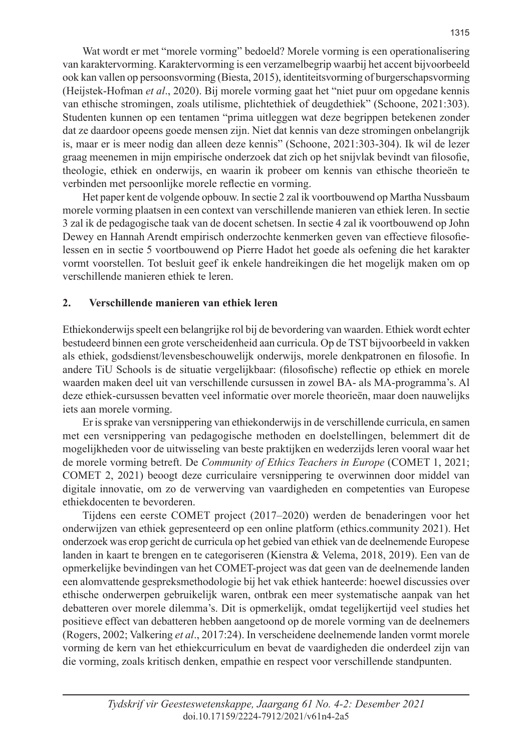Wat wordt er met "morele vorming" bedoeld? Morele vorming is een operationalisering van karaktervorming. Karaktervorming is een verzamelbegrip waarbij het accent bijvoorbeeld ook kan vallen op persoonsvorming (Biesta, 2015), identiteitsvorming of burgerschapsvorming (Heijstek-Hofman *et al*., 2020). Bij morele vorming gaat het "niet puur om opgedane kennis van ethische stromingen, zoals utilisme, plichtethiek of deugdethiek" (Schoone, 2021:303). Studenten kunnen op een tentamen "prima uitleggen wat deze begrippen betekenen zonder dat ze daardoor opeens goede mensen zijn. Niet dat kennis van deze stromingen onbelangrijk is, maar er is meer nodig dan alleen deze kennis" (Schoone, 2021:303-304). Ik wil de lezer graag meenemen in mijn empirische onderzoek dat zich op het snijvlak bevindt van filosofie, theologie, ethiek en onderwijs, en waarin ik probeer om kennis van ethische theorieën te verbinden met persoonlijke morele reflectie en vorming.

Het paper kent de volgende opbouw. In sectie 2 zal ik voortbouwend op Martha Nussbaum morele vorming plaatsen in een context van verschillende manieren van ethiek leren. In sectie 3 zal ik de pedagogische taak van de docent schetsen. In sectie 4 zal ik voortbouwend op John Dewey en Hannah Arendt empirisch onderzochte kenmerken geven van effectieve filosofielessen en in sectie 5 voortbouwend op Pierre Hadot het goede als oefening die het karakter vormt voorstellen. Tot besluit geef ik enkele handreikingen die het mogelijk maken om op verschillende manieren ethiek te leren.

#### **2. Verschillende manieren van ethiek leren**

Ethiekonderwijs speelt een belangrijke rol bij de bevordering van waarden. Ethiek wordt echter bestudeerd binnen een grote verscheidenheid aan curricula. Op de TST bijvoorbeeld in vakken als ethiek, godsdienst/levensbeschouwelijk onderwijs, morele denkpatronen en filosofie. In andere TiU Schools is de situatie vergelijkbaar: (filosofische) reflectie op ethiek en morele waarden maken deel uit van verschillende cursussen in zowel BA- als MA-programma's. Al deze ethiek-cursussen bevatten veel informatie over morele theorieën, maar doen nauwelijks iets aan morele vorming.

Er is sprake van versnippering van ethiekonderwijs in de verschillende curricula, en samen met een versnippering van pedagogische methoden en doelstellingen, belemmert dit de mogelijkheden voor de uitwisseling van beste praktijken en wederzijds leren vooral waar het de morele vorming betreft. De *Community of Ethics Teachers in Europe* (COMET 1, 2021; COMET 2, 2021) beoogt deze curriculaire versnippering te overwinnen door middel van digitale innovatie, om zo de verwerving van vaardigheden en competenties van Europese ethiekdocenten te bevorderen.

Tijdens een eerste COMET project (2017–2020) werden de benaderingen voor het onderwijzen van ethiek gepresenteerd op een online platform (ethics.community 2021). Het onderzoek was erop gericht de curricula op het gebied van ethiek van de deelnemende Europese landen in kaart te brengen en te categoriseren (Kienstra & Velema, 2018, 2019). Een van de opmerkelijke bevindingen van het COMET-project was dat geen van de deelnemende landen een alomvattende gespreksmethodologie bij het vak ethiek hanteerde: hoewel discussies over ethische onderwerpen gebruikelijk waren, ontbrak een meer systematische aanpak van het debatteren over morele dilemma's. Dit is opmerkelijk, omdat tegelijkertijd veel studies het positieve effect van debatteren hebben aangetoond op de morele vorming van de deelnemers (Rogers, 2002; Valkering *et al*., 2017:24). In verscheidene deelnemende landen vormt morele vorming de kern van het ethiekcurriculum en bevat de vaardigheden die onderdeel zijn van die vorming, zoals kritisch denken, empathie en respect voor verschillende standpunten.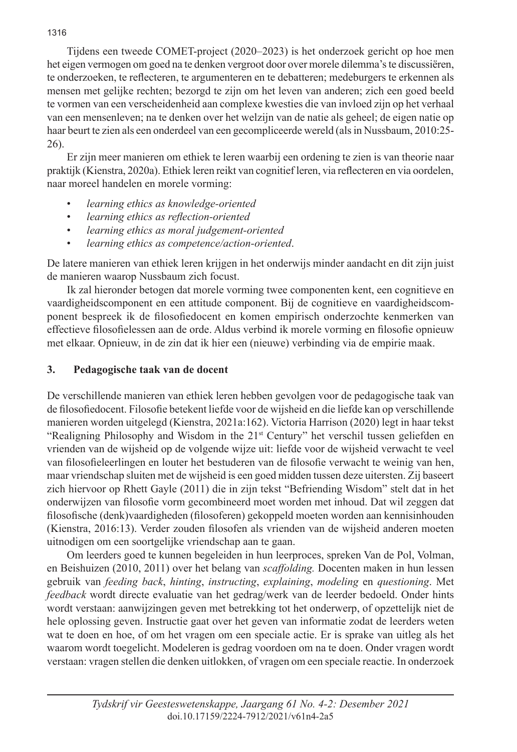Tijdens een tweede COMET-project (2020–2023) is het onderzoek gericht op hoe men het eigen vermogen om goed na te denken vergroot door over morele dilemma's te discussiëren, te onderzoeken, te reflecteren, te argumenteren en te debatteren; medeburgers te erkennen als mensen met gelijke rechten; bezorgd te zijn om het leven van anderen; zich een goed beeld te vormen van een verscheidenheid aan complexe kwesties die van invloed zijn op het verhaal van een mensenleven; na te denken over het welzijn van de natie als geheel; de eigen natie op haar beurt te zien als een onderdeel van een gecompliceerde wereld (als in Nussbaum, 2010:25- 26).

Er zijn meer manieren om ethiek te leren waarbij een ordening te zien is van theorie naar praktijk (Kienstra, 2020a). Ethiek leren reikt van cognitief leren, via reflecteren en via oordelen, naar moreel handelen en morele vorming:

- *learning ethics as knowledge-oriented*
- *learning ethics as reflection-oriented*
- *learning ethics as moral judgement-oriented*
- *learning ethics as competence/action-oriented*.

De latere manieren van ethiek leren krijgen in het onderwijs minder aandacht en dit zijn juist de manieren waarop Nussbaum zich focust.

Ik zal hieronder betogen dat morele vorming twee componenten kent, een cognitieve en vaardigheidscomponent en een attitude component. Bij de cognitieve en vaardigheidscomponent bespreek ik de filosofiedocent en komen empirisch onderzochte kenmerken van effectieve filosofielessen aan de orde. Aldus verbind ik morele vorming en filosofie opnieuw met elkaar. Opnieuw, in de zin dat ik hier een (nieuwe) verbinding via de empirie maak.

#### **3. Pedagogische taak van de docent**

De verschillende manieren van ethiek leren hebben gevolgen voor de pedagogische taak van de filosofiedocent. Filosofie betekent liefde voor de wijsheid en die liefde kan op verschillende manieren worden uitgelegd (Kienstra, 2021a:162). Victoria Harrison (2020) legt in haar tekst "Realigning Philosophy and Wisdom in the 21st Century" het verschil tussen geliefden en vrienden van de wijsheid op de volgende wijze uit: liefde voor de wijsheid verwacht te veel van filosofieleerlingen en louter het bestuderen van de filosofie verwacht te weinig van hen, maar vriendschap sluiten met de wijsheid is een goed midden tussen deze uitersten. Zij baseert zich hiervoor op Rhett Gayle (2011) die in zijn tekst "Befriending Wisdom" stelt dat in het onderwijzen van filosofie vorm gecombineerd moet worden met inhoud. Dat wil zeggen dat filosofische (denk)vaardigheden (filosoferen) gekoppeld moeten worden aan kennisinhouden (Kienstra, 2016:13). Verder zouden filosofen als vrienden van de wijsheid anderen moeten uitnodigen om een soortgelijke vriendschap aan te gaan.

Om leerders goed te kunnen begeleiden in hun leerproces, spreken Van de Pol, Volman, en Beishuizen (2010, 2011) over het belang van *scaffolding.* Docenten maken in hun lessen gebruik van *feeding back*, *hinting*, *instructing*, *explaining*, *modeling* en *questioning*. Met *feedback* wordt directe evaluatie van het gedrag/werk van de leerder bedoeld. Onder hints wordt verstaan: aanwijzingen geven met betrekking tot het onderwerp, of opzettelijk niet de hele oplossing geven. Instructie gaat over het geven van informatie zodat de leerders weten wat te doen en hoe, of om het vragen om een speciale actie. Er is sprake van uitleg als het waarom wordt toegelicht. Modeleren is gedrag voordoen om na te doen. Onder vragen wordt verstaan: vragen stellen die denken uitlokken, of vragen om een speciale reactie. In onderzoek

#### 1316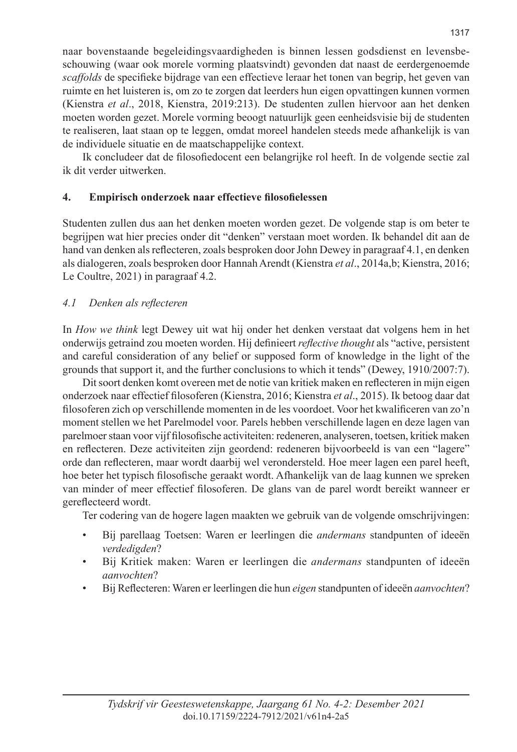naar bovenstaande begeleidingsvaardigheden is binnen lessen godsdienst en levensbeschouwing (waar ook morele vorming plaatsvindt) gevonden dat naast de eerdergenoemde *scaffolds* de specifieke bijdrage van een effectieve leraar het tonen van begrip, het geven van ruimte en het luisteren is, om zo te zorgen dat leerders hun eigen opvattingen kunnen vormen (Kienstra *et al*., 2018, Kienstra, 2019:213). De studenten zullen hiervoor aan het denken moeten worden gezet. Morele vorming beoogt natuurlijk geen eenheidsvisie bij de studenten te realiseren, laat staan op te leggen, omdat moreel handelen steeds mede afhankelijk is van de individuele situatie en de maatschappelijke context.

Ik concludeer dat de filosofiedocent een belangrijke rol heeft. In de volgende sectie zal ik dit verder uitwerken.

## **4. Empirisch onderzoek naar effectieve filosofielessen**

Studenten zullen dus aan het denken moeten worden gezet. De volgende stap is om beter te begrijpen wat hier precies onder dit "denken" verstaan moet worden. Ik behandel dit aan de hand van denken als reflecteren, zoals besproken door John Dewey in paragraaf 4.1, en denken als dialogeren, zoals besproken door Hannah Arendt (Kienstra *et al*., 2014a,b; Kienstra, 2016; Le Coultre, 2021) in paragraaf 4.2.

#### *4.1 Denken als reflecteren*

In *How we think* legt Dewey uit wat hij onder het denken verstaat dat volgens hem in het onderwijs getraind zou moeten worden. Hij definieert *reflective thought* als "active, persistent and careful consideration of any belief or supposed form of knowledge in the light of the grounds that support it, and the further conclusions to which it tends" (Dewey, 1910/2007:7).

Dit soort denken komt overeen met de notie van kritiek maken en reflecteren in mijn eigen onderzoek naar effectief filosoferen (Kienstra, 2016; Kienstra *et al*., 2015). Ik betoog daar dat filosoferen zich op verschillende momenten in de les voordoet. Voor het kwalificeren van zo'n moment stellen we het Parelmodel voor. Parels hebben verschillende lagen en deze lagen van parelmoer staan voor vijf filosofische activiteiten: redeneren, analyseren, toetsen, kritiek maken en reflecteren. Deze activiteiten zijn geordend: redeneren bijvoorbeeld is van een "lagere" orde dan reflecteren, maar wordt daarbij wel verondersteld. Hoe meer lagen een parel heeft, hoe beter het typisch filosofische geraakt wordt. Afhankelijk van de laag kunnen we spreken van minder of meer effectief filosoferen. De glans van de parel wordt bereikt wanneer er gereflecteerd wordt.

Ter codering van de hogere lagen maakten we gebruik van de volgende omschrijvingen:

- Bij parellaag Toetsen: Waren er leerlingen die *andermans* standpunten of ideeën *verdedigden*?
- Bij Kritiek maken: Waren er leerlingen die *andermans* standpunten of ideeën *aanvochten*?
- Bij Reflecteren: Waren er leerlingen die hun *eigen* standpunten of ideeën *aanvochten*?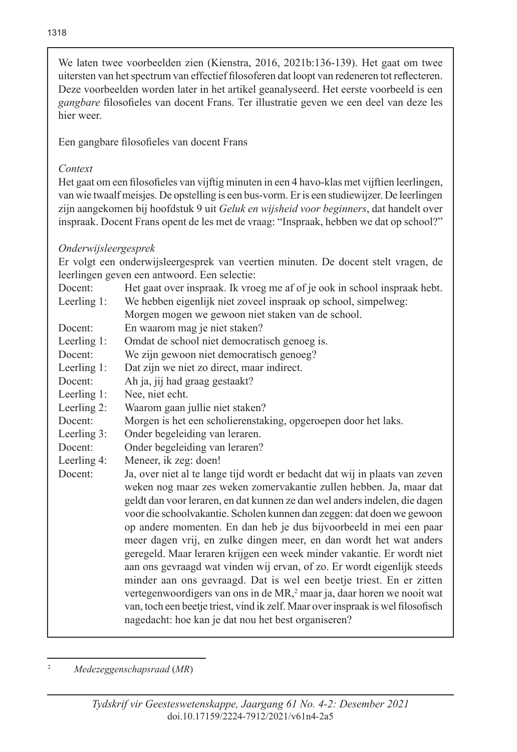We laten twee voorbeelden zien (Kienstra, 2016, 2021b:136-139). Het gaat om twee uitersten van het spectrum van effectief filosoferen dat loopt van redeneren tot reflecteren. Deze voorbeelden worden later in het artikel geanalyseerd. Het eerste voorbeeld is een *gangbare* filosofieles van docent Frans. Ter illustratie geven we een deel van deze les hier weer.

Een gangbare filosofieles van docent Frans

#### *Context*

Het gaat om een filosofieles van vijftig minuten in een 4 havo-klas met vijftien leerlingen, van wie twaalf meisjes. De opstelling is een bus-vorm. Er is een studiewijzer. De leerlingen zijn aangekomen bij hoofdstuk 9 uit *Geluk en wijsheid voor beginners*, dat handelt over inspraak. Docent Frans opent de les met de vraag: "Inspraak, hebben we dat op school?"

## *Onderwijsleergesprek*

Er volgt een onderwijsleergesprek van veertien minuten. De docent stelt vragen, de leerlingen geven een antwoord. Een selectie:

Docent: Het gaat over inspraak. Ik vroeg me af of je ook in school inspraak hebt. Leerling 1: We hebben eigenlijk niet zoveel inspraak op school, simpelweg:

- Morgen mogen we gewoon niet staken van de school.
- Docent: En waarom mag je niet staken?
- Leerling 1: Omdat de school niet democratisch genoeg is.
- Docent: We zijn gewoon niet democratisch genoeg?
- Leerling 1: Dat zijn we niet zo direct, maar indirect.
- Docent: Ah ja, jij had graag gestaakt?
- Leerling 1: Nee, niet echt.
- Leerling 2: Waarom gaan jullie niet staken?
- Docent: Morgen is het een scholierenstaking, opgeroepen door het laks.
- Leerling 3: Onder begeleiding van leraren.
- Docent: Onder begeleiding van leraren?
- Leerling 4: Meneer, ik zeg: doen!
- Docent: Ja, over niet al te lange tijd wordt er bedacht dat wij in plaats van zeven weken nog maar zes weken zomervakantie zullen hebben. Ja, maar dat geldt dan voor leraren, en dat kunnen ze dan wel anders indelen, die dagen voor die schoolvakantie. Scholen kunnen dan zeggen: dat doen we gewoon op andere momenten. En dan heb je dus bijvoorbeeld in mei een paar meer dagen vrij, en zulke dingen meer, en dan wordt het wat anders geregeld. Maar leraren krijgen een week minder vakantie. Er wordt niet aan ons gevraagd wat vinden wij ervan, of zo. Er wordt eigenlijk steeds minder aan ons gevraagd. Dat is wel een beetje triest. En er zitten vertegenwoordigers van ons in de MR,<sup>2</sup> maar ja, daar horen we nooit wat van, toch een beetje triest, vind ik zelf. Maar over inspraak is wel filosofisch nagedacht: hoe kan je dat nou het best organiseren?

<sup>2</sup> *Medezeggenschapsraad* (*MR*)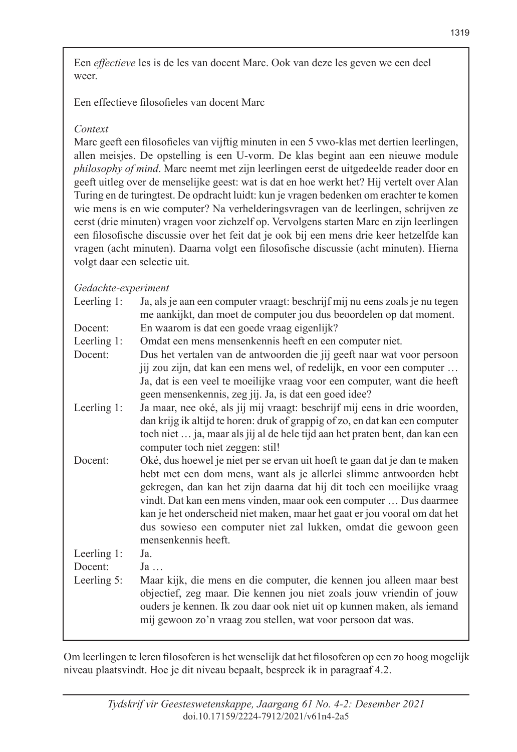Een *effectieve* les is de les van docent Marc. Ook van deze les geven we een deel weer.

Een effectieve filosofieles van docent Marc

## *Context*

Marc geeft een filosofieles van vijftig minuten in een 5 vwo-klas met dertien leerlingen, allen meisjes. De opstelling is een U-vorm. De klas begint aan een nieuwe module *philosophy of mind*. Marc neemt met zijn leerlingen eerst de uitgedeelde reader door en geeft uitleg over de menselijke geest: wat is dat en hoe werkt het? Hij vertelt over Alan Turing en de turingtest. De opdracht luidt: kun je vragen bedenken om erachter te komen wie mens is en wie computer? Na verhelderingsvragen van de leerlingen, schrijven ze eerst (drie minuten) vragen voor zichzelf op. Vervolgens starten Marc en zijn leerlingen een filosofische discussie over het feit dat je ook bij een mens drie keer hetzelfde kan vragen (acht minuten). Daarna volgt een filosofische discussie (acht minuten). Hierna volgt daar een selectie uit.

## *Gedachte-experiment*

| Ja, als je aan een computer vraagt: beschrijf mij nu eens zoals je nu tegen  |
|------------------------------------------------------------------------------|
| me aankijkt, dan moet de computer jou dus beoordelen op dat moment.          |
| En waarom is dat een goede vraag eigenlijk?                                  |
| Omdat een mens mensenkennis heeft en een computer niet.                      |
| Dus het vertalen van de antwoorden die jij geeft naar wat voor persoon       |
| jij zou zijn, dat kan een mens wel, of redelijk, en voor een computer        |
| Ja, dat is een veel te moeilijke vraag voor een computer, want die heeft     |
| geen mensenkennis, zeg jij. Ja, is dat een goed idee?                        |
| Ja maar, nee oké, als jij mij vraagt: beschrijf mij eens in drie woorden,    |
| dan krijg ik altijd te horen: druk of grappig of zo, en dat kan een computer |
| toch niet  ja, maar als jij al de hele tijd aan het praten bent, dan kan een |
| computer toch niet zeggen: stil!                                             |
| Oké, dus hoewel je niet per se ervan uit hoeft te gaan dat je dan te maken   |
| hebt met een dom mens, want als je allerlei slimme antwoorden hebt           |
| gekregen, dan kan het zijn daarna dat hij dit toch een moeilijke vraag       |
| vindt. Dat kan een mens vinden, maar ook een computer  Dus daarmee           |
| kan je het onderscheid niet maken, maar het gaat er jou vooral om dat het    |
| dus sowieso een computer niet zal lukken, omdat die gewoon geen              |
| mensenkennis heeft.                                                          |
| Ja.                                                                          |
| Ja                                                                           |
| Maar kijk, die mens en die computer, die kennen jou alleen maar best         |
| objectief, zeg maar. Die kennen jou niet zoals jouw vriendin of jouw         |
| ouders je kennen. Ik zou daar ook niet uit op kunnen maken, als iemand       |
|                                                                              |
| mij gewoon zo'n vraag zou stellen, wat voor persoon dat was.                 |
|                                                                              |

Om leerlingen te leren filosoferen is het wenselijk dat het filosoferen op een zo hoog mogelijk niveau plaatsvindt. Hoe je dit niveau bepaalt, bespreek ik in paragraaf 4.2.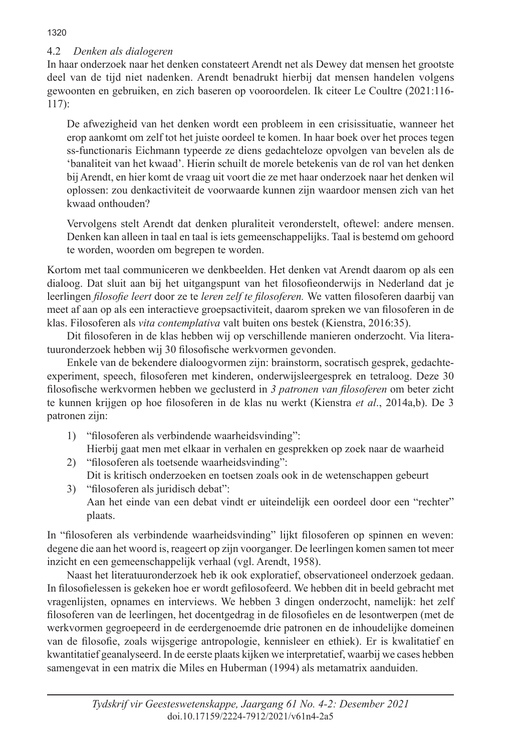# 4.2 *Denken als dialogeren*

In haar onderzoek naar het denken constateert Arendt net als Dewey dat mensen het grootste deel van de tijd niet nadenken. Arendt benadrukt hierbij dat mensen handelen volgens gewoonten en gebruiken, en zich baseren op vooroordelen. Ik citeer Le Coultre (2021:116- 117):

De afwezigheid van het denken wordt een probleem in een crisissituatie, wanneer het erop aankomt om zelf tot het juiste oordeel te komen. In haar boek over het proces tegen ss-functionaris Eichmann typeerde ze diens gedachteloze opvolgen van bevelen als de 'banaliteit van het kwaad'. Hierin schuilt de morele betekenis van de rol van het denken bij Arendt, en hier komt de vraag uit voort die ze met haar onderzoek naar het denken wil oplossen: zou denkactiviteit de voorwaarde kunnen zijn waardoor mensen zich van het kwaad onthouden?

Vervolgens stelt Arendt dat denken pluraliteit veronderstelt, oftewel: andere mensen. Denken kan alleen in taal en taal is iets gemeenschappelijks. Taal is bestemd om gehoord te worden, woorden om begrepen te worden.

Kortom met taal communiceren we denkbeelden. Het denken vat Arendt daarom op als een dialoog. Dat sluit aan bij het uitgangspunt van het filosofieonderwijs in Nederland dat je leerlingen *filosofie leert* door ze te *leren zelf te filosoferen.* We vatten filosoferen daarbij van meet af aan op als een interactieve groepsactiviteit, daarom spreken we van filosoferen in de klas. Filosoferen als *vita contemplativa* valt buiten ons bestek (Kienstra, 2016:35).

Dit filosoferen in de klas hebben wij op verschillende manieren onderzocht. Via literatuuronderzoek hebben wij 30 filosofische werkvormen gevonden.

Enkele van de bekendere dialoogvormen zijn: brainstorm, socratisch gesprek, gedachteexperiment, speech, filosoferen met kinderen, onderwijsleergesprek en tetraloog. Deze 30 filosofische werkvormen hebben we geclusterd in *3 patronen van filosoferen* om beter zicht te kunnen krijgen op hoe filosoferen in de klas nu werkt (Kienstra *et al*., 2014a,b). De 3 patronen zijn:

- 1) "filosoferen als verbindende waarheidsvinding":
- Hierbij gaat men met elkaar in verhalen en gesprekken op zoek naar de waarheid 2) "filosoferen als toetsende waarheidsvinding":
	- Dit is kritisch onderzoeken en toetsen zoals ook in de wetenschappen gebeurt
- 3) "filosoferen als juridisch debat": Aan het einde van een debat vindt er uiteindelijk een oordeel door een "rechter" plaats.

In "filosoferen als verbindende waarheidsvinding" lijkt filosoferen op spinnen en weven: degene die aan het woord is, reageert op zijn voorganger. De leerlingen komen samen tot meer inzicht en een gemeenschappelijk verhaal (vgl. Arendt, 1958).

Naast het literatuuronderzoek heb ik ook exploratief, observationeel onderzoek gedaan. In filosofielessen is gekeken hoe er wordt gefilosofeerd. We hebben dit in beeld gebracht met vragenlijsten, opnames en interviews. We hebben 3 dingen onderzocht, namelijk: het zelf filosoferen van de leerlingen, het docentgedrag in de filosofieles en de lesontwerpen (met de werkvormen gegroepeerd in de eerdergenoemde drie patronen en de inhoudelijke domeinen van de filosofie, zoals wijsgerige antropologie, kennisleer en ethiek). Er is kwalitatief en kwantitatief geanalyseerd. In de eerste plaats kijken we interpretatief, waarbij we cases hebben samengevat in een matrix die Miles en Huberman (1994) als metamatrix aanduiden.

1320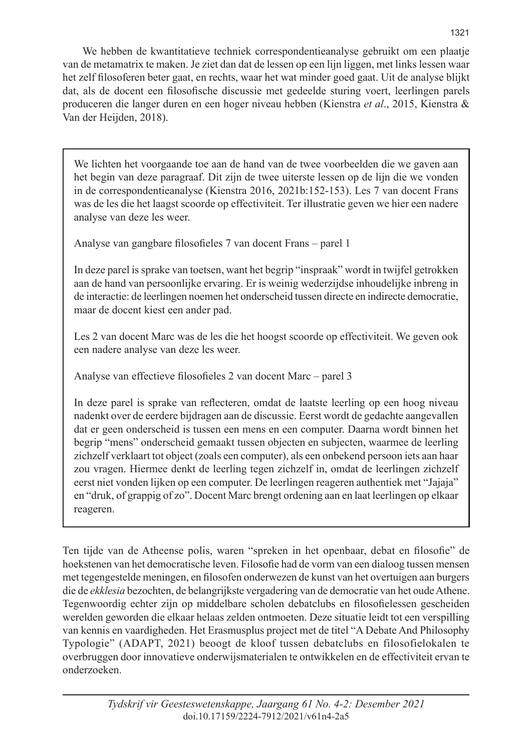We hebben de kwantitatieve techniek correspondentieanalyse gebruikt om een plaatje van de metamatrix te maken. Je ziet dan dat de lessen op een lijn liggen, met links lessen waar het zelf filosoferen beter gaat, en rechts, waar het wat minder goed gaat. Uit de analyse blijkt dat, als de docent een filosofische discussie met gedeelde sturing voert, leerlingen parels produceren die langer duren en een hoger niveau hebben (Kienstra *et al*., 2015, Kienstra & Van der Heijden, 2018).

We lichten het voorgaande toe aan de hand van de twee voorbeelden die we gaven aan het begin van deze paragraaf. Dit zijn de twee uiterste lessen op de lijn die we vonden in de correspondentieanalyse (Kienstra 2016, 2021b:152-153). Les 7 van docent Frans was de les die het laagst scoorde op effectiviteit. Ter illustratie geven we hier een nadere analyse van deze les weer.

Analyse van gangbare filosofieles 7 van docent Frans – parel 1

In deze parel is sprake van toetsen, want het begrip "inspraak" wordt in twijfel getrokken aan de hand van persoonlijke ervaring. Er is weinig wederzijdse inhoudelijke inbreng in de interactie: de leerlingen noemen het onderscheid tussen directe en indirecte democratie, maar de docent kiest een ander pad.

Les 2 van docent Marc was de les die het hoogst scoorde op effectiviteit. We geven ook een nadere analyse van deze les weer.

Analyse van effectieve filosofieles 2 van docent Marc – parel 3

In deze parel is sprake van reflecteren, omdat de laatste leerling op een hoog niveau nadenkt over de eerdere bijdragen aan de discussie. Eerst wordt de gedachte aangevallen dat er geen onderscheid is tussen een mens en een computer. Daarna wordt binnen het begrip "mens" onderscheid gemaakt tussen objecten en subjecten, waarmee de leerling zichzelf verklaart tot object (zoals een computer), als een onbekend persoon iets aan haar zou vragen. Hiermee denkt de leerling tegen zichzelf in, omdat de leerlingen zichzelf eerst niet vonden lijken op een computer. De leerlingen reageren authentiek met "Jajaja" en "druk, of grappig of zo". Docent Marc brengt ordening aan en laat leerlingen op elkaar reageren.

Ten tijde van de Atheense polis, waren "spreken in het openbaar, debat en filosofie" de hoekstenen van het democratische leven. Filosofie had de vorm van een dialoog tussen mensen met tegengestelde meningen, en filosofen onderwezen de kunst van het overtuigen aan burgers die de *ekklesia* bezochten, de belangrijkste vergadering van de democratie van het oude Athene. Tegenwoordig echter zijn op middelbare scholen debatclubs en filosofielessen gescheiden werelden geworden die elkaar helaas zelden ontmoeten. Deze situatie leidt tot een verspilling van kennis en vaardigheden. Het Erasmusplus project met de titel "A Debate And Philosophy Typologie" (ADAPT, 2021) beoogt de kloof tussen debatclubs en filosofielokalen te overbruggen door innovatieve onderwijsmaterialen te ontwikkelen en de effectiviteit ervan te onderzoeken.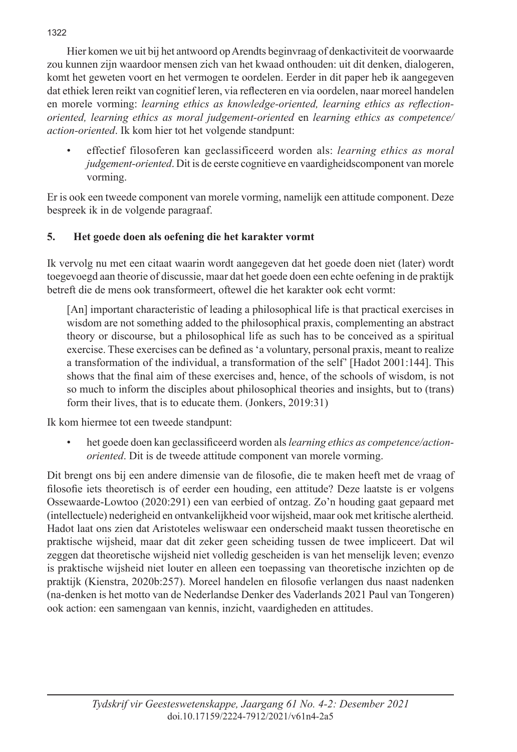Hier komen we uit bij het antwoord op Arendts beginvraag of denkactiviteit de voorwaarde zou kunnen zijn waardoor mensen zich van het kwaad onthouden: uit dit denken, dialogeren, komt het geweten voort en het vermogen te oordelen. Eerder in dit paper heb ik aangegeven dat ethiek leren reikt van cognitief leren, via reflecteren en via oordelen, naar moreel handelen en morele vorming: *learning ethics as knowledge-oriented, learning ethics as reflectionoriented, learning ethics as moral judgement-oriented* en *learning ethics as competence/ action-oriented*. Ik kom hier tot het volgende standpunt:

• effectief filosoferen kan geclassificeerd worden als: *learning ethics as moral judgement-oriented*. Dit is de eerste cognitieve en vaardigheidscomponent van morele vorming.

Er is ook een tweede component van morele vorming, namelijk een attitude component. Deze bespreek ik in de volgende paragraaf.

## **5. Het goede doen als oefening die het karakter vormt**

Ik vervolg nu met een citaat waarin wordt aangegeven dat het goede doen niet (later) wordt toegevoegd aan theorie of discussie, maar dat het goede doen een echte oefening in de praktijk betreft die de mens ook transformeert, oftewel die het karakter ook echt vormt:

[An] important characteristic of leading a philosophical life is that practical exercises in wisdom are not something added to the philosophical praxis, complementing an abstract theory or discourse, but a philosophical life as such has to be conceived as a spiritual exercise. These exercises can be defined as 'a voluntary, personal praxis, meant to realize a transformation of the individual, a transformation of the self' [Hadot 2001:144]. This shows that the final aim of these exercises and, hence, of the schools of wisdom, is not so much to inform the disciples about philosophical theories and insights, but to (trans) form their lives, that is to educate them. (Jonkers, 2019:31)

Ik kom hiermee tot een tweede standpunt:

• het goede doen kan geclassificeerd worden als *learning ethics as competence/actionoriented*. Dit is de tweede attitude component van morele vorming.

Dit brengt ons bij een andere dimensie van de filosofie, die te maken heeft met de vraag of filosofie iets theoretisch is of eerder een houding, een attitude? Deze laatste is er volgens Ossewaarde-Lowtoo (2020:291) een van eerbied of ontzag. Zo'n houding gaat gepaard met (intellectuele) nederigheid en ontvankelijkheid voor wijsheid, maar ook met kritische alertheid. Hadot laat ons zien dat Aristoteles weliswaar een onderscheid maakt tussen theoretische en praktische wijsheid, maar dat dit zeker geen scheiding tussen de twee impliceert. Dat wil zeggen dat theoretische wijsheid niet volledig gescheiden is van het menselijk leven; evenzo is praktische wijsheid niet louter en alleen een toepassing van theoretische inzichten op de praktijk (Kienstra, 2020b:257). Moreel handelen en filosofie verlangen dus naast nadenken (na-denken is het motto van de Nederlandse Denker des Vaderlands 2021 Paul van Tongeren) ook action: een samengaan van kennis, inzicht, vaardigheden en attitudes.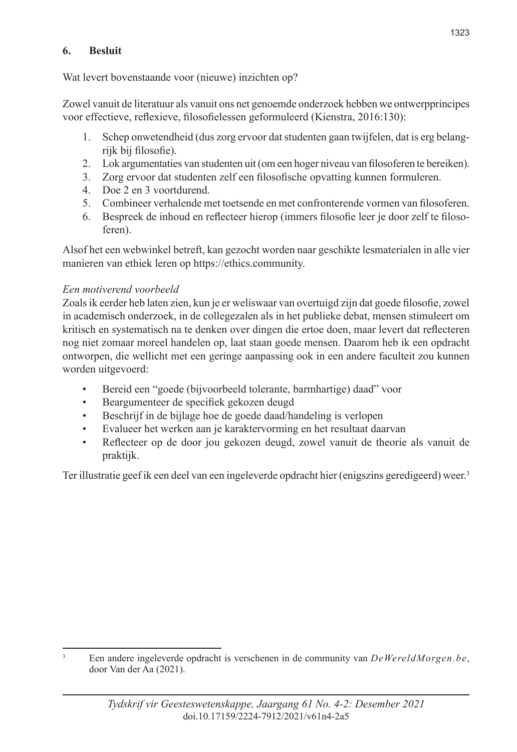#### **6. Besluit**

Wat levert bovenstaande voor (nieuwe) inzichten op?

Zowel vanuit de literatuur als vanuit ons net genoemde onderzoek hebben we ontwerpprincipes voor effectieve, reflexieve, filosofielessen geformuleerd (Kienstra, 2016:130):

- 1. Schep onwetendheid (dus zorg ervoor dat studenten gaan twijfelen, dat is erg belangrijk bij filosofie).
- 2. Lok argumentaties van studenten uit (om een hoger niveau van filosoferen te bereiken).
- 3. Zorg ervoor dat studenten zelf een filosofische opvatting kunnen formuleren.
- 4. Doe 2 en 3 voortdurend.
- 5. Combineer verhalende met toetsende en met confronterende vormen van filosoferen.
- 6. Bespreek de inhoud en reflecteer hierop (immers filosofie leer je door zelf te filosoferen).

Alsof het een webwinkel betreft, kan gezocht worden naar geschikte lesmaterialen in alle vier manieren van ethiek leren op https://ethics.community.

## *Een motiverend voorbeeld*

Zoals ik eerder heb laten zien, kun je er weliswaar van overtuigd zijn dat goede filosofie, zowel in academisch onderzoek, in de collegezalen als in het publieke debat, mensen stimuleert om kritisch en systematisch na te denken over dingen die ertoe doen, maar levert dat reflecteren nog niet zomaar moreel handelen op, laat staan goede mensen. Daarom heb ik een opdracht ontworpen, die wellicht met een geringe aanpassing ook in een andere faculteit zou kunnen worden uitgevoerd:

- Bereid een "goede (bijvoorbeeld tolerante, barmhartige) daad" voor
- Beargumenteer de specifiek gekozen deugd
- Beschrijf in de bijlage hoe de goede daad/handeling is verlopen
- Evalueer het werken aan je karaktervorming en het resultaat daarvan
- Reflecteer op de door jou gekozen deugd, zowel vanuit de theorie als vanuit de praktijk.

Ter illustratie geef ik een deel van een ingeleverde opdracht hier (enigszins geredigeerd) weer.3

<sup>3</sup> Een andere ingeleverde opdracht is verschenen in de community van *DeWereldMorgen.be*, door Van der Aa (2021).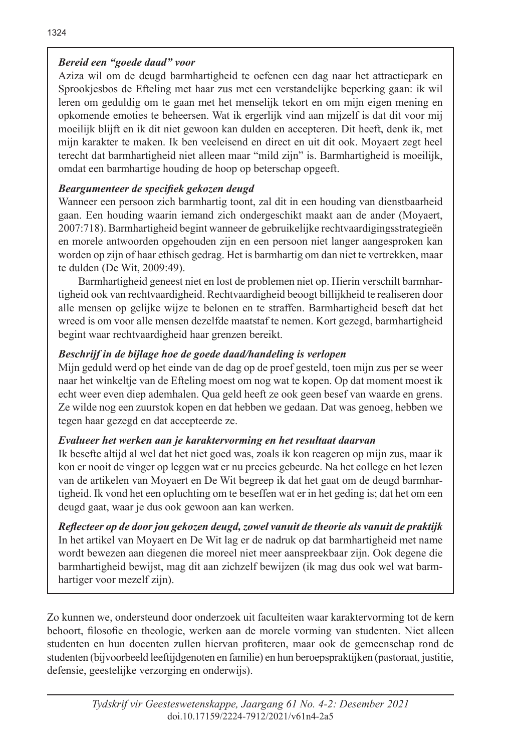## *Bereid een "goede daad" voor*

Aziza wil om de deugd barmhartigheid te oefenen een dag naar het attractiepark en Sprookjesbos de Efteling met haar zus met een verstandelijke beperking gaan: ik wil leren om geduldig om te gaan met het menselijk tekort en om mijn eigen mening en opkomende emoties te beheersen. Wat ik ergerlijk vind aan mijzelf is dat dit voor mij moeilijk blijft en ik dit niet gewoon kan dulden en accepteren. Dit heeft, denk ik, met mijn karakter te maken. Ik ben veeleisend en direct en uit dit ook. Moyaert zegt heel terecht dat barmhartigheid niet alleen maar "mild zijn" is. Barmhartigheid is moeilijk, omdat een barmhartige houding de hoop op beterschap opgeeft.

# *Beargumenteer de specifiek gekozen deugd*

Wanneer een persoon zich barmhartig toont, zal dit in een houding van dienstbaarheid gaan. Een houding waarin iemand zich ondergeschikt maakt aan de ander (Moyaert, 2007:718). Barmhartigheid begint wanneer de gebruikelijke rechtvaardigingsstrategieën en morele antwoorden opgehouden zijn en een persoon niet langer aangesproken kan worden op zijn of haar ethisch gedrag. Het is barmhartig om dan niet te vertrekken, maar te dulden (De Wit, 2009:49).

Barmhartigheid geneest niet en lost de problemen niet op. Hierin verschilt barmhartigheid ook van rechtvaardigheid. Rechtvaardigheid beoogt billijkheid te realiseren door alle mensen op gelijke wijze te belonen en te straffen. Barmhartigheid beseft dat het wreed is om voor alle mensen dezelfde maatstaf te nemen. Kort gezegd, barmhartigheid begint waar rechtvaardigheid haar grenzen bereikt.

# *Beschrijf in de bijlage hoe de goede daad/handeling is verlopen*

Mijn geduld werd op het einde van de dag op de proef gesteld, toen mijn zus per se weer naar het winkeltje van de Efteling moest om nog wat te kopen. Op dat moment moest ik echt weer even diep ademhalen. Qua geld heeft ze ook geen besef van waarde en grens. Ze wilde nog een zuurstok kopen en dat hebben we gedaan. Dat was genoeg, hebben we tegen haar gezegd en dat accepteerde ze.

## *Evalueer het werken aan je karaktervorming en het resultaat daarvan*

Ik besefte altijd al wel dat het niet goed was, zoals ik kon reageren op mijn zus, maar ik kon er nooit de vinger op leggen wat er nu precies gebeurde. Na het college en het lezen van de artikelen van Moyaert en De Wit begreep ik dat het gaat om de deugd barmhartigheid. Ik vond het een opluchting om te beseffen wat er in het geding is; dat het om een deugd gaat, waar je dus ook gewoon aan kan werken.

*Reflecteer op de door jou gekozen deugd, zowel vanuit de theorie als vanuit de praktijk* In het artikel van Moyaert en De Wit lag er de nadruk op dat barmhartigheid met name wordt bewezen aan diegenen die moreel niet meer aanspreekbaar zijn. Ook degene die barmhartigheid bewijst, mag dit aan zichzelf bewijzen (ik mag dus ook wel wat barmhartiger voor mezelf zijn).

Zo kunnen we, ondersteund door onderzoek uit faculteiten waar karaktervorming tot de kern behoort, filosofie en theologie, werken aan de morele vorming van studenten. Niet alleen studenten en hun docenten zullen hiervan profiteren, maar ook de gemeenschap rond de studenten (bijvoorbeeld leeftijdgenoten en familie) en hun beroepspraktijken (pastoraat, justitie, defensie, geestelijke verzorging en onderwijs).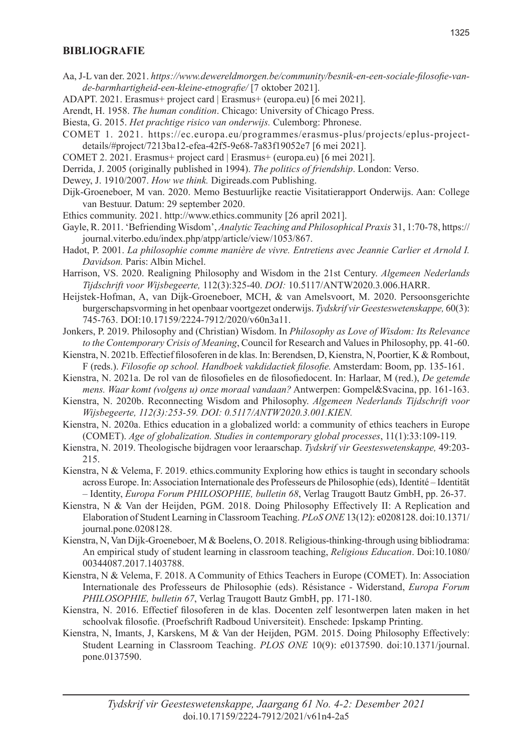#### **BIBLIOGRAFIE**

- Aa, J-L van der. 2021. *https://www.dewereldmorgen.be/community/besnik-en-een-sociale-filosofie-vande-barmhartigheid-een-kleine-etnografie/* [7 oktober 2021].
- ADAPT. 2021. Erasmus+ project card | Erasmus+ (europa.eu) [6 mei 2021].
- Arendt, H. 1958. *The human condition*. Chicago: University of Chicago Press.
- Biesta, G. 2015. *Het prachtige risico van onderwijs.* Culemborg: Phronese.
- COMET 1. 2021. https://ec.europa.eu/programmes/erasmus-plus/projects/eplus-projectdetails/#project/7213ba12-efea-42f5-9e68-7a83f19052e7 [6 mei 2021].
- COMET 2. 2021. Erasmus+ project card | Erasmus+ (europa.eu) [6 mei 2021].
- Derrida, J. 2005 (originally published in 1994). *The politics of friendship*. London: Verso.
- Dewey, J. 1910/2007. *How we think.* Digireads.com Publishing.
- Dijk-Groeneboer, M van. 2020. Memo Bestuurlijke reactie Visitatierapport Onderwijs. Aan: College van Bestuur. Datum: 29 september 2020.
- Ethics community. 2021. http://www.ethics.community [26 april 2021].
- Gayle, R. 2011. 'Befriending Wisdom', *Analytic Teaching and Philosophical Praxis* 31, 1:70-78, https:// journal.viterbo.edu/index.php/atpp/article/view/1053/867.
- Hadot, P. 2001. *La philosophie comme manière de vivre. Entretiens avec Jeannie Carlier et Arnold I. Davidson.* Paris: Albin Michel.
- Harrison, VS. 2020. Realigning Philosophy and Wisdom in the 21st Century. *Algemeen Nederlands Tijdschrift voor Wijsbegeerte,* 112(3):325-40. *DOI:* 10.5117/ANTW2020.3.006.HARR.
- Heijstek-Hofman, A, van Dijk-Groeneboer, MCH, & van Amelsvoort, M. 2020. Persoonsgerichte burgerschapsvorming in het openbaar voortgezet onderwijs. *Tydskrif vir Geesteswetenskappe,* 60(3): 745-763. DOI:10.17159/2224-7912/2020/v60n3a11.
- Jonkers, P. 2019. Philosophy and (Christian) Wisdom. In *Philosophy as Love of Wisdom: Its Relevance to the Contemporary Crisis of Meaning*, Council for Research and Values in Philosophy, pp. 41-60.
- Kienstra, N. 2021b. Effectief filosoferen in de klas. In: Berendsen, D, Kienstra, N, Poortier, K & Rombout, F (reds.). *Filosofie op school. Handboek vakdidactiek filosofie.* Amsterdam: Boom, pp. 135-161.
- Kienstra, N. 2021a. De rol van de filosofieles en de filosofiedocent. In: Harlaar, M (red.), *De getemde mens. Waar komt (volgens u) onze moraal vandaan?* Antwerpen: Gompel&Svacina, pp. 161-163.
- Kienstra, N. 2020b. Reconnecting Wisdom and Philosophy. *Algemeen Nederlands Tijdschrift voor Wijsbegeerte, 112(3):253-59. DOI: 0.5117/ANTW2020.3.001.KIEN.*
- Kienstra, N. 2020a. Ethics education in a globalized world: a community of ethics teachers in Europe (COMET). *Age of globalization. Studies in contemporary global processes*, 11(1):33:109-119*.*
- Kienstra, N. 2019. Theologische bijdragen voor leraarschap. *Tydskrif vir Geesteswetenskappe,* 49:203- 215.
- Kienstra, N & Velema, F. 2019. ethics.community Exploring how ethics is taught in secondary schools across Europe. In: Association Internationale des Professeurs de Philosophie (eds), Identité – Identität – Identity, *Europa Forum PHILOSOPHIE, bulletin 68*, Verlag Traugott Bautz GmbH, pp. 26-37.
- Kienstra, N & Van der Heijden, PGM. 2018. Doing Philosophy Effectively II: A Replication and Elaboration of Student Learning in Classroom Teaching. *PLoS ONE* 13(12): e0208128. doi:10.1371/ journal.pone.0208128.
- Kienstra, N, Van Dijk-Groeneboer, M & Boelens, O. 2018. Religious-thinking-through using bibliodrama: An empirical study of student learning in classroom teaching, *Religious Education*. Doi:10.1080/ 00344087.2017.1403788.
- Kienstra, N & Velema, F. 2018. A Community of Ethics Teachers in Europe (COMET). In: Association Internationale des Professeurs de Philosophie (eds). Résistance - Widerstand, *Europa Forum PHILOSOPHIE, bulletin 67*, Verlag Traugott Bautz GmbH, pp. 171-180.
- Kienstra, N. 2016. Effectief filosoferen in de klas. Docenten zelf lesontwerpen laten maken in het schoolvak filosofie. (Proefschrift Radboud Universiteit). Enschede: Ipskamp Printing.
- Kienstra, N, Imants, J, Karskens, M & Van der Heijden, PGM. 2015. Doing Philosophy Effectively: Student Learning in Classroom Teaching. *PLOS ONE* 10(9): e0137590. doi:10.1371/journal. pone.0137590.